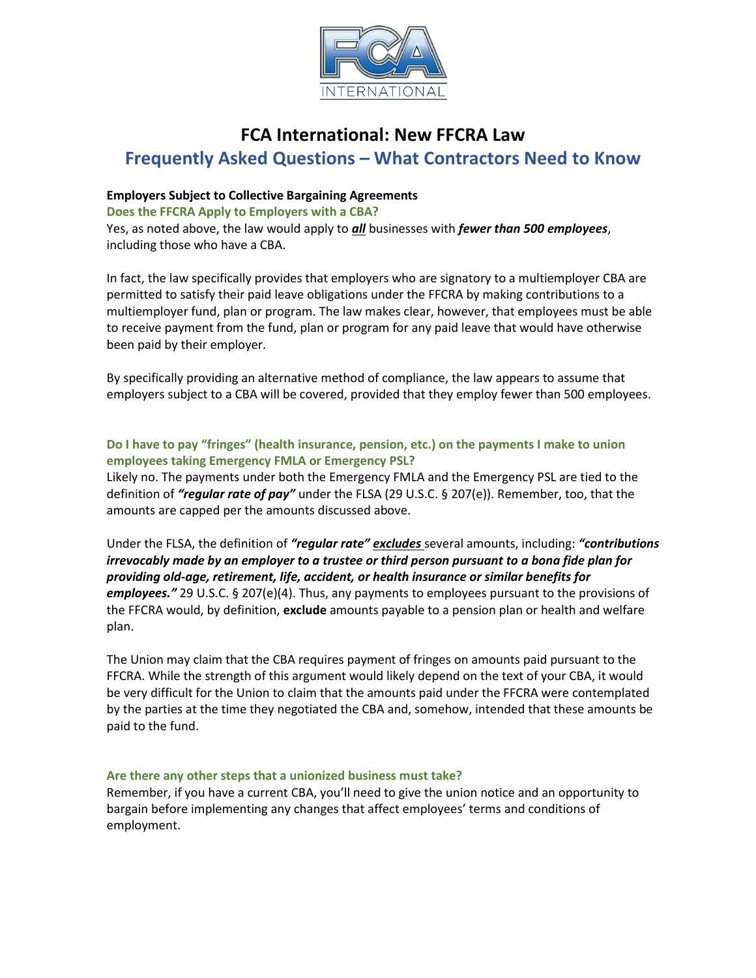

# **FCA International: New FFCRA Law Frequently Asked Questions – What Contractors Need to Know**

# **Employers Subject to Collective Bargaining Agreements**

**Does the FFCRA Apply to Employers with a CBA?** 

Yes, as noted above, the law would apply to *all* businesses with *fewer than 500 employees*, including those who have a CBA.

In fact, the law specifically provides that employers who are signatory to a multiemployer CBA are permitted to satisfy their paid leave obligations under the FFCRA by making contributions to a multiemployer fund, plan or program. The law makes clear, however, that employees must be able to receive payment from the fund, plan or program for any paid leave that would have otherwise been paid by their employer.

By specifically providing an alternative method of compliance, the law appears to assume that employers subject to a CBA will be covered, provided that they employ fewer than 500 employees.

# **Do I have to pay "fringes" (health insurance, pension, etc.) on the payments I make to union employees taking Emergency FMLA or Emergency PSL?**

Likely no. The payments under both the Emergency FMLA and the Emergency PSL are tied to the definition of *"regular rate of pay"* under the FLSA (29 U.S.C. § 207(e)). Remember, too, that the amounts are capped per the amounts discussed above.

Under the FLSA, the definition of *"regular rate" excludes* several amounts, including: *"contributions irrevocably made by an employer to a trustee or third person pursuant to a bona fide plan for providing old-age, retirement, life, accident, or health insurance or similar benefits for employees."* 29 U.S.C. § 207(e)(4). Thus, any payments to employees pursuant to the provisions of the FFCRA would, by definition, **exclude** amounts payable to a pension plan or health and welfare plan.

The Union may claim that the CBA requires payment of fringes on amounts paid pursuant to the FFCRA. While the strength of this argument would likely depend on the text of your CBA, it would be very difficult for the Union to claim that the amounts paid under the FFCRA were contemplated by the parties at the time they negotiated the CBA and, somehow, intended that these amounts be paid to the fund.

### **Are there any other steps that a unionized business must take?**

Remember, if you have a current CBA, you'll need to give the union notice and an opportunity to bargain before implementing any changes that affect employees' terms and conditions of employment.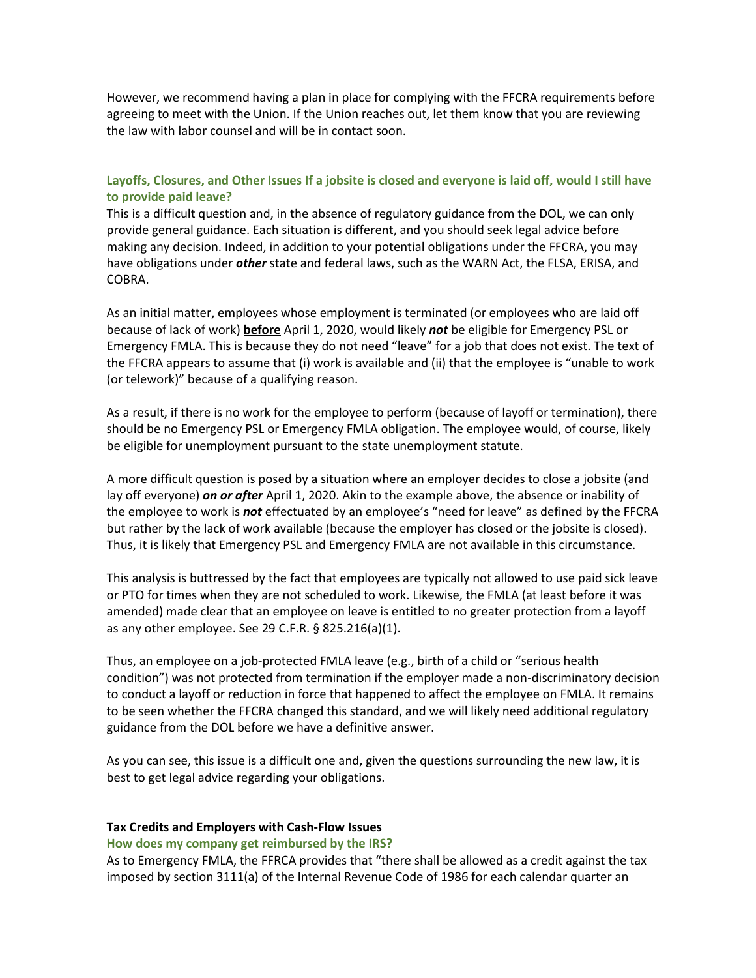However, we recommend having a plan in place for complying with the FFCRA requirements before agreeing to meet with the Union. If the Union reaches out, let them know that you are reviewing the law with labor counsel and will be in contact soon.

## **Layoffs, Closures, and Other Issues If a jobsite is closed and everyone is laid off, would I still have to provide paid leave?**

This is a difficult question and, in the absence of regulatory guidance from the DOL, we can only provide general guidance. Each situation is different, and you should seek legal advice before making any decision. Indeed, in addition to your potential obligations under the FFCRA, you may have obligations under *other* state and federal laws, such as the WARN Act, the FLSA, ERISA, and COBRA.

As an initial matter, employees whose employment is terminated (or employees who are laid off because of lack of work) **before** April 1, 2020, would likely *not* be eligible for Emergency PSL or Emergency FMLA. This is because they do not need "leave" for a job that does not exist. The text of the FFCRA appears to assume that (i) work is available and (ii) that the employee is "unable to work (or telework)" because of a qualifying reason.

As a result, if there is no work for the employee to perform (because of layoff or termination), there should be no Emergency PSL or Emergency FMLA obligation. The employee would, of course, likely be eligible for unemployment pursuant to the state unemployment statute.

A more difficult question is posed by a situation where an employer decides to close a jobsite (and lay off everyone) *on or after* April 1, 2020. Akin to the example above, the absence or inability of the employee to work is *not* effectuated by an employee's "need for leave" as defined by the FFCRA but rather by the lack of work available (because the employer has closed or the jobsite is closed). Thus, it is likely that Emergency PSL and Emergency FMLA are not available in this circumstance.

This analysis is buttressed by the fact that employees are typically not allowed to use paid sick leave or PTO for times when they are not scheduled to work. Likewise, the FMLA (at least before it was amended) made clear that an employee on leave is entitled to no greater protection from a layoff as any other employee. See 29 C.F.R. § 825.216(a)(1).

Thus, an employee on a job-protected FMLA leave (e.g., birth of a child or "serious health condition") was not protected from termination if the employer made a non-discriminatory decision to conduct a layoff or reduction in force that happened to affect the employee on FMLA. It remains to be seen whether the FFCRA changed this standard, and we will likely need additional regulatory guidance from the DOL before we have a definitive answer.

As you can see, this issue is a difficult one and, given the questions surrounding the new law, it is best to get legal advice regarding your obligations.

#### **Tax Credits and Employers with Cash-Flow Issues**

#### **How does my company get reimbursed by the IRS?**

As to Emergency FMLA, the FFRCA provides that "there shall be allowed as a credit against the tax imposed by section 3111(a) of the Internal Revenue Code of 1986 for each calendar quarter an